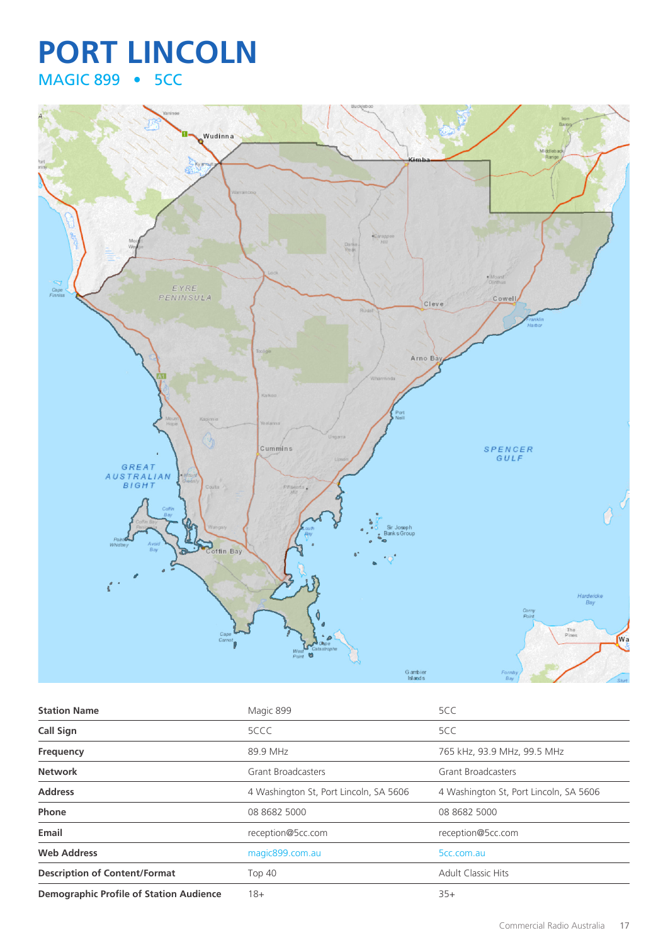## **PORT LINCOLN** MAGIC 899 • 5CC



| <b>Station Name</b>                            | Magic 899                              | 5CC                                    |
|------------------------------------------------|----------------------------------------|----------------------------------------|
| <b>Call Sign</b>                               | 5CCC                                   | 5CC                                    |
| Frequency                                      | 89.9 MHz                               | 765 kHz, 93.9 MHz, 99.5 MHz            |
| <b>Network</b>                                 | <b>Grant Broadcasters</b>              | <b>Grant Broadcasters</b>              |
| <b>Address</b>                                 | 4 Washington St, Port Lincoln, SA 5606 | 4 Washington St, Port Lincoln, SA 5606 |
| Phone                                          | 08 8682 5000                           | 08 8682 5000                           |
| Email                                          | reception@5cc.com                      | reception@5cc.com                      |
| <b>Web Address</b>                             | magic899.com.au                        | 5cc.com.au                             |
| <b>Description of Content/Format</b>           | <b>Top 40</b>                          | <b>Adult Classic Hits</b>              |
| <b>Demographic Profile of Station Audience</b> | 18+                                    | $35+$                                  |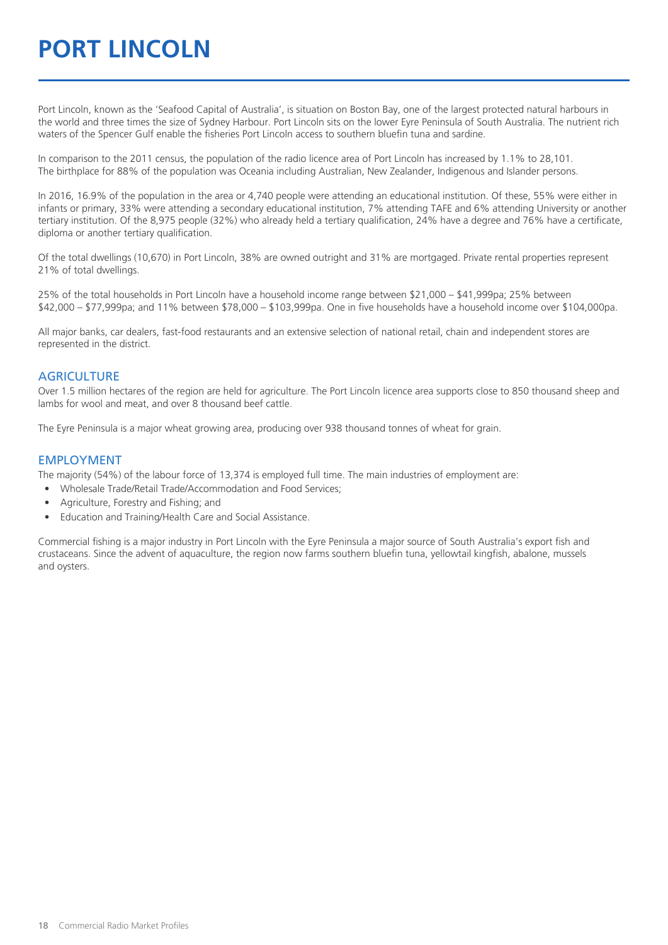## **PORT LINCOLN**

Port Lincoln, known as the 'Seafood Capital of Australia', is situation on Boston Bay, one of the largest protected natural harbours in the world and three times the size of Sydney Harbour. Port Lincoln sits on the lower Eyre Peninsula of South Australia. The nutrient rich waters of the Spencer Gulf enable the fisheries Port Lincoln access to southern bluefin tuna and sardine.

In comparison to the 2011 census, the population of the radio licence area of Port Lincoln has increased by 1.1% to 28,101. The birthplace for 88% of the population was Oceania including Australian, New Zealander, Indigenous and Islander persons.

In 2016, 16.9% of the population in the area or 4,740 people were attending an educational institution. Of these, 55% were either in infants or primary, 33% were attending a secondary educational institution, 7% attending TAFE and 6% attending University or another tertiary institution. Of the 8,975 people (32%) who already held a tertiary qualification, 24% have a degree and 76% have a certificate, diploma or another tertiary qualification.

Of the total dwellings (10,670) in Port Lincoln, 38% are owned outright and 31% are mortgaged. Private rental properties represent 21% of total dwellings.

25% of the total households in Port Lincoln have a household income range between \$21,000 – \$41,999pa; 25% between \$42,000 – \$77,999pa; and 11% between \$78,000 – \$103,999pa. One in five households have a household income over \$104,000pa.

All major banks, car dealers, fast-food restaurants and an extensive selection of national retail, chain and independent stores are represented in the district.

#### **AGRICULTURE**

Over 1.5 million hectares of the region are held for agriculture. The Port Lincoln licence area supports close to 850 thousand sheep and lambs for wool and meat, and over 8 thousand beef cattle.

The Eyre Peninsula is a major wheat growing area, producing over 938 thousand tonnes of wheat for grain.

#### EMPLOYMENT

The majority (54%) of the labour force of 13,374 is employed full time. The main industries of employment are:

- Wholesale Trade/Retail Trade/Accommodation and Food Services;
- Agriculture, Forestry and Fishing; and
- Education and Training/Health Care and Social Assistance.

Commercial fishing is a major industry in Port Lincoln with the Eyre Peninsula a major source of South Australia's export fish and crustaceans. Since the advent of aquaculture, the region now farms southern bluefin tuna, yellowtail kingfish, abalone, mussels and oysters.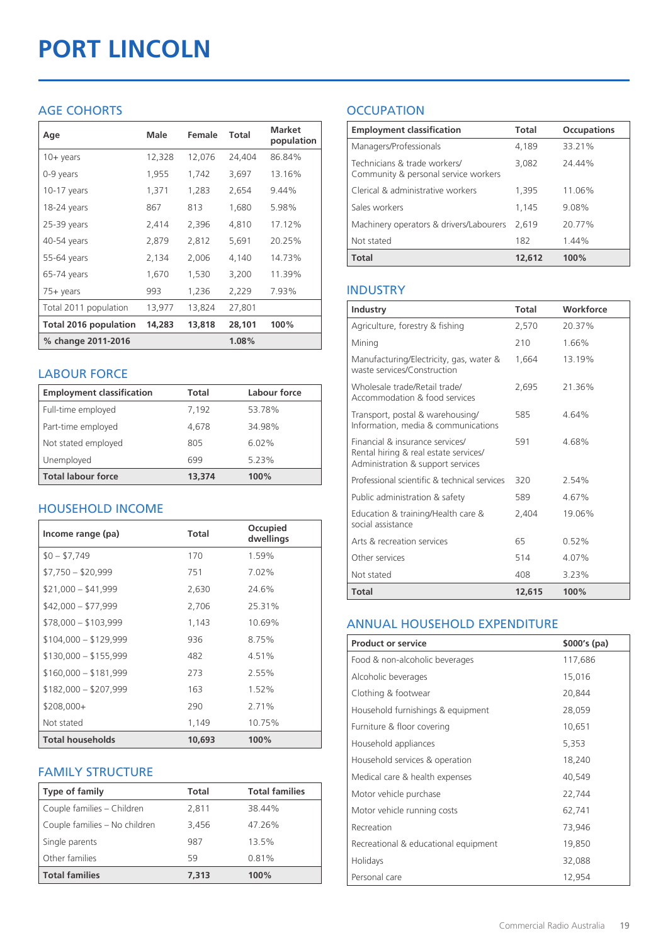# **PORT LINCOLN**

## AGE COHORTS

| Age                          | Male   | Female | Total  | <b>Market</b><br>population |
|------------------------------|--------|--------|--------|-----------------------------|
| $10 + \gamma$ ears           | 12,328 | 12,076 | 24,404 | 86.84%                      |
| 0-9 years                    | 1,955  | 1,742  | 3,697  | 13.16%                      |
| $10-17$ years                | 1,371  | 1,283  | 2,654  | 9.44%                       |
| 18-24 years                  | 867    | 813    | 1,680  | 5.98%                       |
| 25-39 years                  | 2,414  | 2,396  | 4,810  | 17.12%                      |
| 40-54 years                  | 2,879  | 2,812  | 5,691  | 20.25%                      |
| 55-64 years                  | 2,134  | 2,006  | 4,140  | 14.73%                      |
| 65-74 years                  | 1,670  | 1,530  | 3,200  | 11.39%                      |
| 75+ years                    | 993    | 1,236  | 2,229  | 7.93%                       |
| Total 2011 population        | 13,977 | 13,824 | 27,801 |                             |
| <b>Total 2016 population</b> | 14,283 | 13,818 | 28,101 | 100%                        |
| % change 2011-2016           |        |        | 1.08%  |                             |

#### LABOUR FORCE

| <b>Employment classification</b> | Total  | Labour force |
|----------------------------------|--------|--------------|
| Full-time employed               | 7,192  | 53.78%       |
| Part-time employed               | 4,678  | 34.98%       |
| Not stated employed              | 805    | 6.02%        |
| Unemployed                       | 699    | 5.23%        |
| <b>Total labour force</b>        | 13,374 | 100%         |

## HOUSEHOLD INCOME

| Income range (pa)       | Total  | Occupied<br>dwellings |
|-------------------------|--------|-----------------------|
| $$0 - $7,749$           | 170    | 1.59%                 |
| $$7,750 - $20,999$      | 751    | 7.02%                 |
| $$21,000 - $41,999$     | 2,630  | 24.6%                 |
| $$42,000 - $77,999$     | 2,706  | 25.31%                |
| $$78,000 - $103,999$    | 1,143  | 10.69%                |
| $$104,000 - $129,999$   | 936    | 8.75%                 |
| $$130,000 - $155,999$   | 482    | 4.51%                 |
| $$160,000 - $181,999$   | 273    | 2.55%                 |
| $$182,000 - $207,999$   | 163    | 1.52%                 |
| $$208,000+$             | 290    | 2.71%                 |
| Not stated              | 1,149  | 10.75%                |
| <b>Total households</b> | 10,693 | 100%                  |

## FAMILY STRUCTURE

| <b>Type of family</b>         | <b>Total</b> | <b>Total families</b> |
|-------------------------------|--------------|-----------------------|
| Couple families - Children    | 2,811        | 38.44%                |
| Couple families - No children | 3,456        | 47.26%                |
| Single parents                | 987          | 13.5%                 |
| Other families                | 59           | 0.81%                 |
| <b>Total families</b>         | 7,313        | 100%                  |

## **OCCUPATION**

| <b>Employment classification</b>                                     | <b>Total</b> | <b>Occupations</b> |
|----------------------------------------------------------------------|--------------|--------------------|
| Managers/Professionals                                               | 4.189        | 33.21%             |
| Technicians & trade workers/<br>Community & personal service workers | 3,082        | 24.44%             |
| Clerical & administrative workers                                    | 1,395        | 11.06%             |
| Sales workers                                                        | 1.145        | 9.08%              |
| Machinery operators & drivers/Labourers                              | 2.619        | 20.77%             |
| Not stated                                                           | 182          | 1.44%              |
| <b>Total</b>                                                         | 12,612       | 100%               |

## INDUSTRY

| Industry                                                                                                      | Total  | Workforce |
|---------------------------------------------------------------------------------------------------------------|--------|-----------|
| Agriculture, forestry & fishing                                                                               | 2,570  | 20.37%    |
| Mining                                                                                                        | 210    | 1.66%     |
| Manufacturing/Electricity, gas, water &<br>waste services/Construction                                        | 1,664  | 13.19%    |
| Wholesale trade/Retail trade/<br>Accommodation & food services                                                | 2.695  | 21.36%    |
| Transport, postal & warehousing/<br>Information, media & communications                                       | 585    | 4.64%     |
| Financial & insurance services/<br>Rental hiring & real estate services/<br>Administration & support services | 591    | 4.68%     |
| Professional scientific & technical services                                                                  | 320    | 2.54%     |
| Public administration & safety                                                                                | 589    | 4.67%     |
| Education & training/Health care &<br>social assistance                                                       | 2,404  | 19.06%    |
| Arts & recreation services                                                                                    | 65     | 0.52%     |
| Other services                                                                                                | 514    | 4.07%     |
| Not stated                                                                                                    | 408    | 3.23%     |
| Total                                                                                                         | 12,615 | 100%      |

## ANNUAL HOUSEHOLD EXPENDITURE

| <b>Product or service</b>            | $$000's$ (pa) |
|--------------------------------------|---------------|
| Food & non-alcoholic beverages       | 117,686       |
| Alcoholic beverages                  | 15,016        |
| Clothing & footwear                  | 20,844        |
| Household furnishings & equipment    | 28,059        |
| Furniture & floor covering           | 10,651        |
| Household appliances                 | 5,353         |
| Household services & operation       | 18,240        |
| Medical care & health expenses       | 40,549        |
| Motor vehicle purchase               | 22,744        |
| Motor vehicle running costs          | 62,741        |
| Recreation                           | 73,946        |
| Recreational & educational equipment | 19,850        |
| Holidays                             | 32,088        |
| Personal care                        | 12,954        |